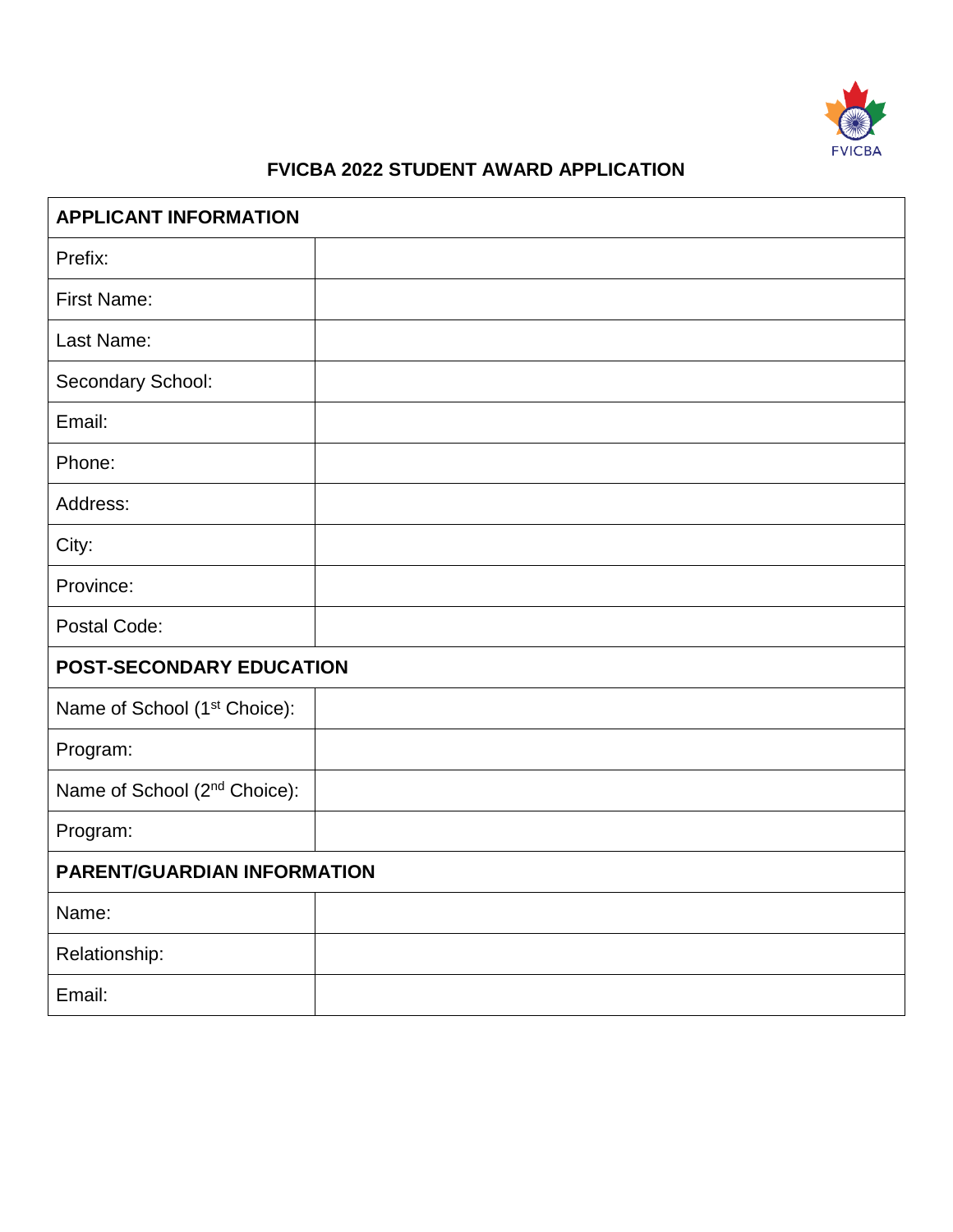

## **FVICBA 2022 STUDENT AWARD APPLICATION**

| <b>APPLICANT INFORMATION</b>             |  |
|------------------------------------------|--|
| Prefix:                                  |  |
| First Name:                              |  |
| Last Name:                               |  |
| Secondary School:                        |  |
| Email:                                   |  |
| Phone:                                   |  |
| Address:                                 |  |
| City:                                    |  |
| Province:                                |  |
| Postal Code:                             |  |
| <b>POST-SECONDARY EDUCATION</b>          |  |
| Name of School (1 <sup>st</sup> Choice): |  |
| Program:                                 |  |
| Name of School (2 <sup>nd</sup> Choice): |  |
| Program:                                 |  |
| <b>PARENT/GUARDIAN INFORMATION</b>       |  |
| Name:                                    |  |
| Relationship:                            |  |
| Email:                                   |  |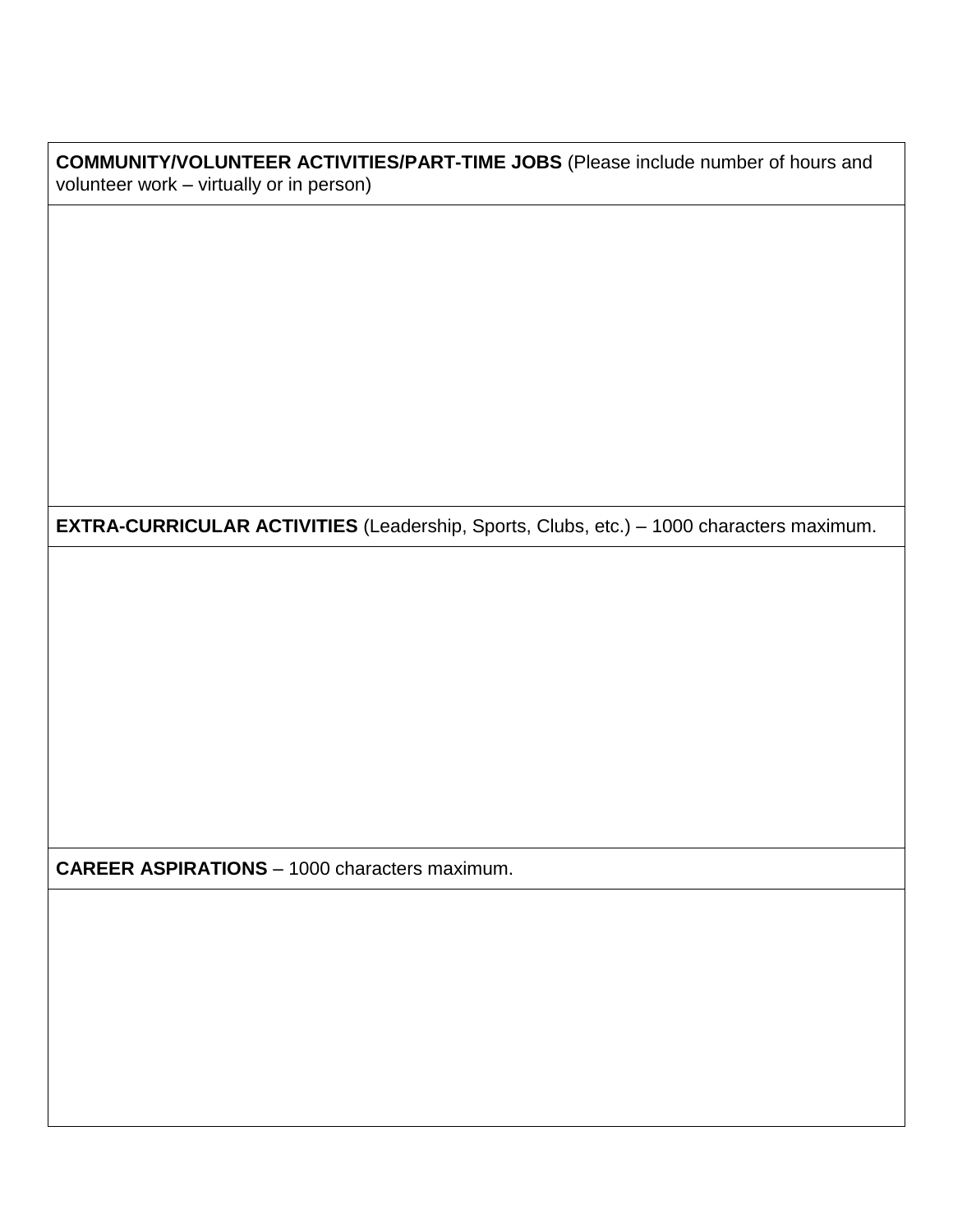**COMMUNITY/VOLUNTEER ACTIVITIES/PART-TIME JOBS** (Please include number of hours and volunteer work – virtually or in person)

**EXTRA-CURRICULAR ACTIVITIES** (Leadership, Sports, Clubs, etc.) – 1000 characters maximum.

**CAREER ASPIRATIONS** – 1000 characters maximum.